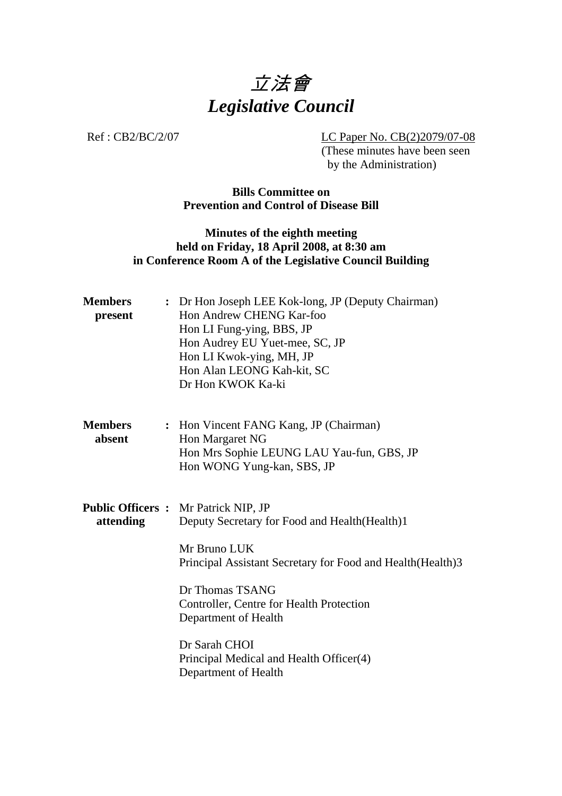

Ref : CB2/BC/2/07 LC Paper No. CB(2)2079/07-08 (These minutes have been seen by the Administration)

### **Bills Committee on Prevention and Control of Disease Bill**

## **Minutes of the eighth meeting held on Friday, 18 April 2008, at 8:30 am in Conference Room A of the Legislative Council Building**

| <b>Members</b><br>present | : Dr Hon Joseph LEE Kok-long, JP (Deputy Chairman)<br>Hon Andrew CHENG Kar-foo<br>Hon LI Fung-ying, BBS, JP<br>Hon Audrey EU Yuet-mee, SC, JP<br>Hon LI Kwok-ying, MH, JP<br>Hon Alan LEONG Kah-kit, SC<br>Dr Hon KWOK Ka-ki                                                                                                                             |
|---------------------------|----------------------------------------------------------------------------------------------------------------------------------------------------------------------------------------------------------------------------------------------------------------------------------------------------------------------------------------------------------|
| <b>Members</b><br>absent  | : Hon Vincent FANG Kang, JP (Chairman)<br>Hon Margaret NG<br>Hon Mrs Sophie LEUNG LAU Yau-fun, GBS, JP<br>Hon WONG Yung-kan, SBS, JP                                                                                                                                                                                                                     |
| attending                 | <b>Public Officers :</b> Mr Patrick NIP, JP<br>Deputy Secretary for Food and Health (Health)1<br>Mr Bruno LUK<br>Principal Assistant Secretary for Food and Health (Health) 3<br>Dr Thomas TSANG<br>Controller, Centre for Health Protection<br>Department of Health<br>Dr Sarah CHOI<br>Principal Medical and Health Officer(4)<br>Department of Health |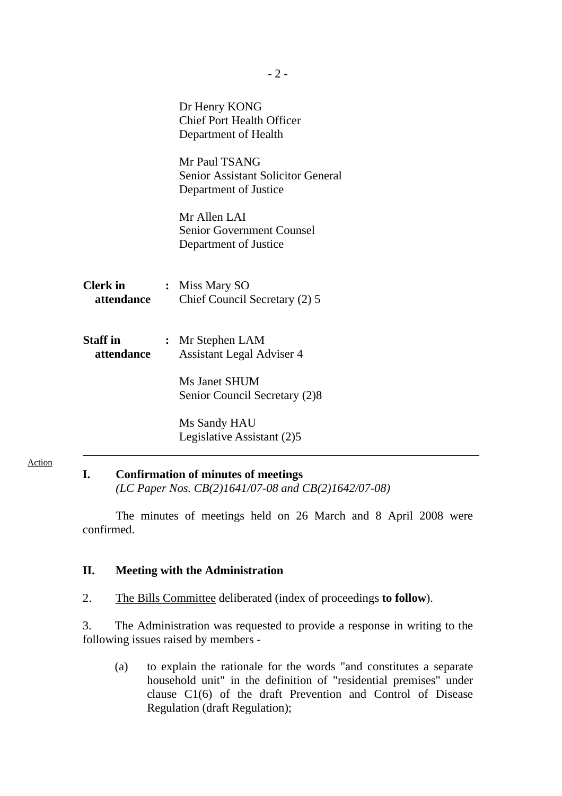|                               | Dr Henry KONG<br><b>Chief Port Health Officer</b><br>Department of Health           |
|-------------------------------|-------------------------------------------------------------------------------------|
|                               | Mr Paul TSANG<br><b>Senior Assistant Solicitor General</b><br>Department of Justice |
|                               | Mr Allen LAI<br><b>Senior Government Counsel</b><br>Department of Justice           |
| <b>Clerk in</b><br>attendance | : Miss Mary SO<br>Chief Council Secretary (2) 5                                     |
| Staff in<br>attendance        | : Mr Stephen LAM<br><b>Assistant Legal Adviser 4</b>                                |
|                               | Ms Janet SHUM<br>Senior Council Secretary (2)8                                      |
|                               | Ms Sandy HAU<br>Legislative Assistant (2)5                                          |

Action

## **I. Confirmation of minutes of meetings**   *(LC Paper Nos. CB(2)1641/07-08 and CB(2)1642/07-08)*

 The minutes of meetings held on 26 March and 8 April 2008 were confirmed.

#### **II. Meeting with the Administration**

2. The Bills Committee deliberated (index of proceedings **to follow**).

3. The Administration was requested to provide a response in writing to the following issues raised by members -

 (a) to explain the rationale for the words "and constitutes a separate household unit" in the definition of "residential premises" under clause C1(6) of the draft Prevention and Control of Disease Regulation (draft Regulation);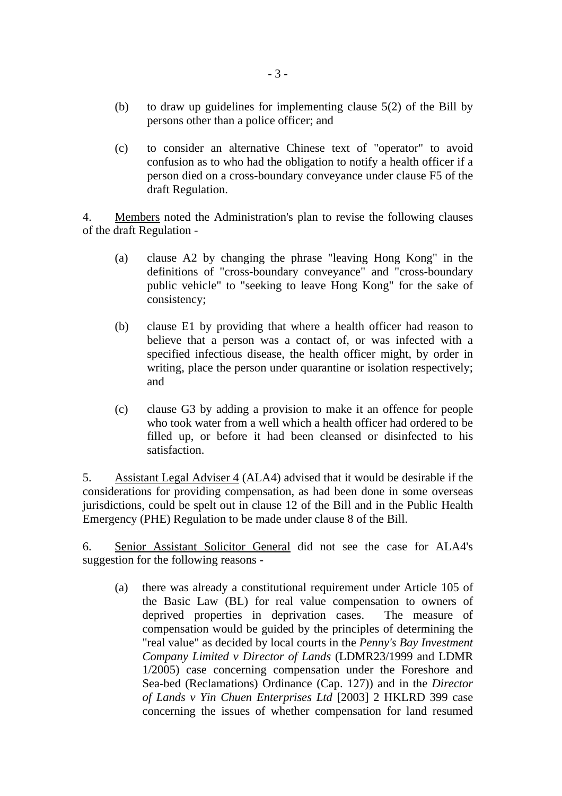- (b) to draw up guidelines for implementing clause 5(2) of the Bill by persons other than a police officer; and
- (c) to consider an alternative Chinese text of "operator" to avoid confusion as to who had the obligation to notify a health officer if a person died on a cross-boundary conveyance under clause F5 of the draft Regulation.

4. Members noted the Administration's plan to revise the following clauses of the draft Regulation -

- (a) clause A2 by changing the phrase "leaving Hong Kong" in the definitions of "cross-boundary conveyance" and "cross-boundary public vehicle" to "seeking to leave Hong Kong" for the sake of consistency;
- (b) clause E1 by providing that where a health officer had reason to believe that a person was a contact of, or was infected with a specified infectious disease, the health officer might, by order in writing, place the person under quarantine or isolation respectively; and
- (c) clause G3 by adding a provision to make it an offence for people who took water from a well which a health officer had ordered to be filled up, or before it had been cleansed or disinfected to his satisfaction.

5. Assistant Legal Adviser 4 (ALA4) advised that it would be desirable if the considerations for providing compensation, as had been done in some overseas jurisdictions, could be spelt out in clause 12 of the Bill and in the Public Health Emergency (PHE) Regulation to be made under clause 8 of the Bill.

6. Senior Assistant Solicitor General did not see the case for ALA4's suggestion for the following reasons -

 (a) there was already a constitutional requirement under Article 105 of the Basic Law (BL) for real value compensation to owners of deprived properties in deprivation cases. The measure of compensation would be guided by the principles of determining the "real value" as decided by local courts in the *Penny's Bay Investment Company Limited v Director of Lands* (LDMR23/1999 and LDMR 1/2005) case concerning compensation under the Foreshore and Sea-bed (Reclamations) Ordinance (Cap. 127)) and in the *Director of Lands v Yin Chuen Enterprises Ltd* [2003] 2 HKLRD 399 case concerning the issues of whether compensation for land resumed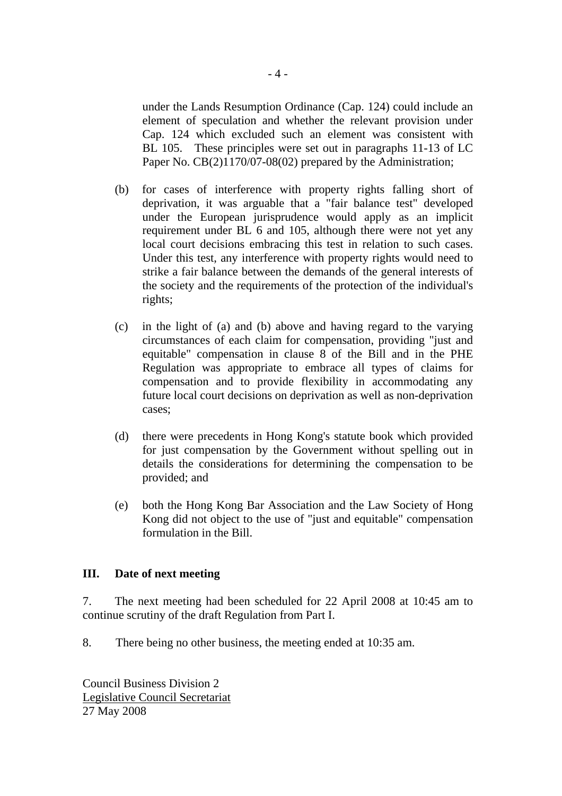under the Lands Resumption Ordinance (Cap. 124) could include an element of speculation and whether the relevant provision under Cap. 124 which excluded such an element was consistent with BL 105. These principles were set out in paragraphs 11-13 of LC Paper No. CB(2)1170/07-08(02) prepared by the Administration;

- (b) for cases of interference with property rights falling short of deprivation, it was arguable that a "fair balance test" developed under the European jurisprudence would apply as an implicit requirement under BL 6 and 105, although there were not yet any local court decisions embracing this test in relation to such cases. Under this test, any interference with property rights would need to strike a fair balance between the demands of the general interests of the society and the requirements of the protection of the individual's rights;
- (c) in the light of (a) and (b) above and having regard to the varying circumstances of each claim for compensation, providing "just and equitable" compensation in clause 8 of the Bill and in the PHE Regulation was appropriate to embrace all types of claims for compensation and to provide flexibility in accommodating any future local court decisions on deprivation as well as non-deprivation cases;
- (d) there were precedents in Hong Kong's statute book which provided for just compensation by the Government without spelling out in details the considerations for determining the compensation to be provided; and
- (e) both the Hong Kong Bar Association and the Law Society of Hong Kong did not object to the use of "just and equitable" compensation formulation in the Bill.

#### **III. Date of next meeting**

7. The next meeting had been scheduled for 22 April 2008 at 10:45 am to continue scrutiny of the draft Regulation from Part I.

8. There being no other business, the meeting ended at 10:35 am.

Council Business Division 2 Legislative Council Secretariat 27 May 2008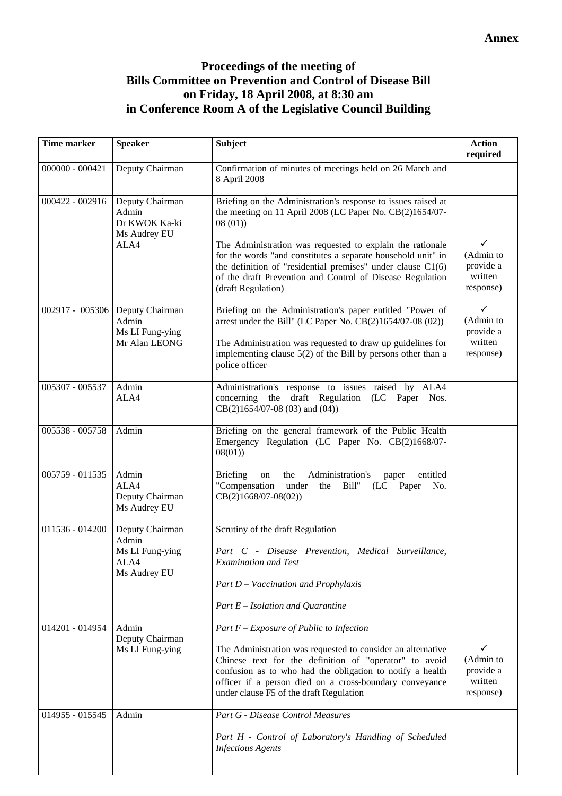# **Proceedings of the meeting of Bills Committee on Prevention and Control of Disease Bill on Friday, 18 April 2008, at 8:30 am in Conference Room A of the Legislative Council Building**

| <b>Time marker</b> | <b>Speaker</b>                                                               | <b>Subject</b>                                                                                                                                                                                                                                                                                                                                                                                                       | <b>Action</b><br>required                                              |
|--------------------|------------------------------------------------------------------------------|----------------------------------------------------------------------------------------------------------------------------------------------------------------------------------------------------------------------------------------------------------------------------------------------------------------------------------------------------------------------------------------------------------------------|------------------------------------------------------------------------|
| $000000 - 000421$  | Deputy Chairman                                                              | Confirmation of minutes of meetings held on 26 March and<br>8 April 2008                                                                                                                                                                                                                                                                                                                                             |                                                                        |
| 000422 - 002916    | Deputy Chairman<br>Admin<br>Dr KWOK Ka-ki<br>Ms Audrey EU<br>ALA4            | Briefing on the Administration's response to issues raised at<br>the meeting on 11 April 2008 (LC Paper No. CB(2)1654/07-<br>08(01)<br>The Administration was requested to explain the rationale<br>for the words "and constitutes a separate household unit" in<br>the definition of "residential premises" under clause $C1(6)$<br>of the draft Prevention and Control of Disease Regulation<br>(draft Regulation) | ✓<br>(Admin to<br>provide a<br>written<br>response)                    |
|                    | 002917 - 005306 Deputy Chairman<br>Admin<br>Ms LI Fung-ying<br>Mr Alan LEONG | Briefing on the Administration's paper entitled "Power of<br>arrest under the Bill" (LC Paper No. $CB(2)1654/07-08(02))$<br>The Administration was requested to draw up guidelines for<br>implementing clause $5(2)$ of the Bill by persons other than a<br>police officer                                                                                                                                           | $\blacktriangledown$<br>(Admin to<br>provide a<br>written<br>response) |
| 005307 - 005537    | Admin<br>ALA4                                                                | Administration's response to issues raised by ALA4<br>concerning the draft Regulation<br>(LC Paper Nos.<br>$CB(2)1654/07-08(03)$ and $(04)$ )                                                                                                                                                                                                                                                                        |                                                                        |
| 005538 - 005758    | Admin                                                                        | Briefing on the general framework of the Public Health<br>Emergency Regulation (LC Paper No. CB(2)1668/07-<br>08(01)                                                                                                                                                                                                                                                                                                 |                                                                        |
| 005759 - 011535    | Admin<br>ALA4<br>Deputy Chairman<br>Ms Audrey EU                             | Administration's<br><b>Briefing</b><br>the<br>entitled<br>on<br>paper<br>"Compensation<br>under<br>Bill"<br>the<br>(LC)<br>Paper<br>No.<br>$CB(2)1668/07-08(02))$                                                                                                                                                                                                                                                    |                                                                        |
| 011536 - 014200    | Deputy Chairman<br>Admin<br>Ms LI Fung-ying<br>ALA4<br>Ms Audrey EU          | Scrutiny of the draft Regulation<br>Part C - Disease Prevention, Medical Surveillance,<br><b>Examination and Test</b><br>Part D - Vaccination and Prophylaxis<br>Part $E$ – Isolation and Quarantine                                                                                                                                                                                                                 |                                                                        |
| 014201 - 014954    | Admin<br>Deputy Chairman<br>Ms LI Fung-ying                                  | Part $F$ – Exposure of Public to Infection<br>The Administration was requested to consider an alternative<br>Chinese text for the definition of "operator" to avoid<br>confusion as to who had the obligation to notify a health<br>officer if a person died on a cross-boundary conveyance<br>under clause F5 of the draft Regulation                                                                               | ✓<br>(Admin to<br>provide a<br>written<br>response)                    |
| 014955 - 015545    | Admin                                                                        | <b>Part G - Disease Control Measures</b><br>Part H - Control of Laboratory's Handling of Scheduled<br><b>Infectious Agents</b>                                                                                                                                                                                                                                                                                       |                                                                        |